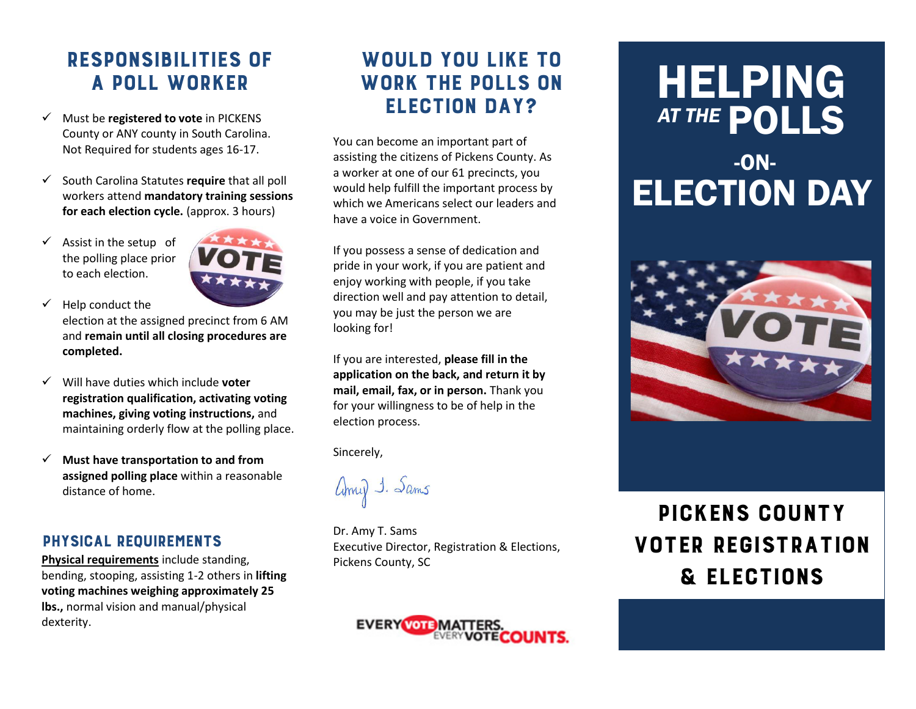### RESPONSIBILITIES OF A POLL WORKER

- Must be **registered to vote** in PICKENS County or ANY county in South Carolina. Not Required for students ages 16-17.
- South Carolina Statutes **require** that all poll workers attend **mandatory training sessions for each election cycle.** (approx. 3 hours)
- $\checkmark$  Assist in the setup of the polling place prior to each election.



- $\checkmark$  Help conduct the election at the assigned precinct from 6 AM and **remain until all closing procedures are completed.**
- Will have duties which include **voter registration qualification, activating voting machines, giving voting instructions,** and maintaining orderly flow at the polling place.
- **Must have transportation to and from assigned polling place** within a reasonable distance of home.

#### PHYSICAL REQUIREMENTS

**Physical requirements** include standing, bending, stooping, assisting 1-2 others in **lifting voting machines weighing approximately 25 lbs.,** normal vision and manual/physical dexterity.

### WOULD YOU LIKE TO WORK THE POLLS ON ELECTION DAY?

You can become an important part of assisting the citizens of Pickens County. As a worker at one of our 61 precincts, you would help fulfill the important process by which we Americans select our leaders and have a voice in Government.

If you possess a sense of dedication and pride in your work, if you are patient and enjoy working with people, if you take direction well and pay attention to detail, you may be just the person we are looking for!

If you are interested, **please fill in the application on the back, and return it by mail, email, fax, or in person.** Thank you for your willingness to be of help in the election process.

Sincerely,

Anny 1. Sams

Dr. Amy T. Sams Executive Director, Registration & Elections, Pickens County, SC



# HELPING AT THE **POLLS**

## -ON-ELECTION DAY



## PICKENS COUNTY VOTER REGISTRATION & ELECTIONS